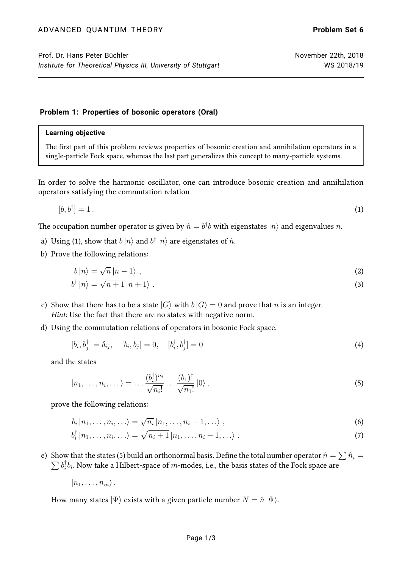### **Problem 1: Properties of bosonic operators (Oral)**

### **Learning objective**

The first part of this problem reviews properties of bosonic creation and annihilation operators in a single-particle Fock space, whereas the last part generalizes this concept to many-particle systems.

In order to solve the harmonic oscillator, one can introduce bosonic creation and annihilation operators satisfying the commutation relation

<span id="page-0-0"></span>
$$
[b, b^{\dagger}] = 1. \tag{1}
$$

The occupation number operator is given by  $\hat{n}=b^{\dagger}b$  with eigenstates  $|n\rangle$  and eigenvalues  $n.$ 

- a) Using [\(1\)](#page-0-0), show that  $b\ket{n}$  and  $b^\dagger\ket{n}$  are eigenstates of  $\hat{n}.$
- b) Prove the following relations:

$$
b|n\rangle = \sqrt{n}|n-1\rangle \tag{2}
$$

$$
b^{\dagger} |n\rangle = \sqrt{n+1} |n+1\rangle . \tag{3}
$$

- c) Show that there has to be a state  $|G\rangle$  with  $|G\rangle = 0$  and prove that n is an integer. Hint: Use the fact that there are no states with negative norm.
- d) Using the commutation relations of operators in bosonic Fock space,

<span id="page-0-1"></span>
$$
[b_i, b_j^{\dagger}] = \delta_{ij}, \quad [b_i, b_j] = 0, \quad [b_i^{\dagger}, b_j^{\dagger}] = 0 \tag{4}
$$

and the states

$$
|n_1,\ldots,n_i,\ldots\rangle=\ldots\frac{(b_i^\dagger)^{n_i}}{\sqrt{n_i!}}\ldots\frac{(b_1)^\dagger}{\sqrt{n_1!}}|0\rangle\,,\tag{5}
$$

prove the following relations:

$$
b_i | n_1, \ldots, n_i, \ldots \rangle = \sqrt{n_i} | n_1, \ldots, n_i - 1, \ldots \rangle \tag{6}
$$

$$
b_i^{\dagger} | n_1, \dots, n_i, \dots \rangle = \sqrt{n_i + 1} | n_1, \dots, n_i + 1, \dots \rangle \tag{7}
$$

e) Show that the states [\(5\)](#page-0-1) build an orthonormal basis. Define the total number operator  $\hat{n}=\sum \hat{n}_i=$  $\sum b_i^\dagger$  $\mathcal{F}_i^{\intercal} b_i.$  Now take a Hilbert-space of  $m\text{-modes},$  i.e., the basis states of the Fock space are

 $|n_1, \ldots, n_m\rangle$ .

How many states  $|\Psi\rangle$  exists with a given particle number  $N = \hat{n} |\Psi\rangle$ .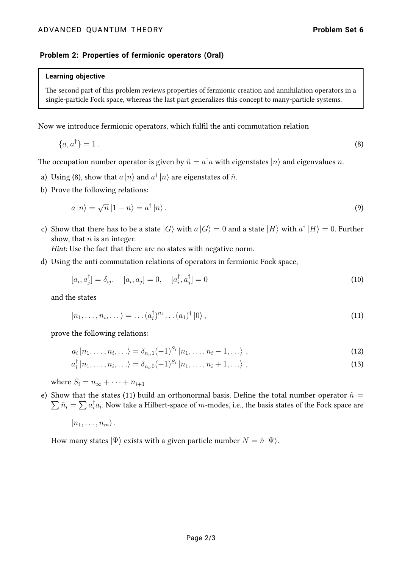## **Problem 2: Properties of fermionic operators (Oral)**

#### **Learning objective**

The second part of this problem reviews properties of fermionic creation and annihilation operators in a single-particle Fock space, whereas the last part generalizes this concept to many-particle systems.

Now we introduce fermionic operators, which fulfil the anti commutation relation

$$
\{a, a^{\dagger}\} = 1. \tag{8}
$$

The occupation number operator is given by  $\hat{n}=a^{\dagger}a$  with eigenstates  $|n\rangle$  and eigenvalues  $n.$ 

- a) Using [\(8\)](#page-1-0), show that  $a\ket{n}$  and  $a^\dagger\ket{n}$  are eigenstates of  $\hat{n}$ .
- b) Prove the following relations:

<span id="page-1-0"></span>
$$
a\left|n\right\rangle = \sqrt{n}\left|1-n\right\rangle = a^{\dagger}\left|n\right\rangle. \tag{9}
$$

c) Show that there has to be a state  $|G\rangle$  with  $a\ket{G}=0$  and a state  $|H\rangle$  with  $a^\dagger\ket{H}=0.$  Further show, that  $n$  is an integer.

Hint: Use the fact that there are no states with negative norm.

d) Using the anti commutation relations of operators in fermionic Fock space,

<span id="page-1-1"></span>
$$
[a_i, a_j^{\dagger}] = \delta_{ij}, \quad [a_i, a_j] = 0, \quad [a_i^{\dagger}, a_j^{\dagger}] = 0 \tag{10}
$$

and the states

$$
|n_1,\ldots,n_i,\ldots\rangle=\ldots(a_i^\dagger)^{n_i}\ldots(a_1)^\dagger|0\rangle\,,\tag{11}
$$

prove the following relations:

$$
a_i | n_1, \ldots, n_i, \ldots \rangle = \delta_{n_i, 1} (-1)^{S_i} | n_1, \ldots, n_i - 1, \ldots \rangle , \qquad (12)
$$

$$
a_i^{\dagger} |n_1, \ldots, n_i, \ldots\rangle = \delta_{n_i,0} (-1)^{S_i} |n_1, \ldots, n_i + 1, \ldots\rangle , \qquad (13)
$$

where  $S_i = n_{\infty} + \cdots + n_{i+1}$ 

e) Show that the states [\(11\)](#page-1-1) build an orthonormal basis. Define the total number operator  $\hat{n} =$  $\sum \hat{n_i} = \sum a_i^\dagger a_i$ . Now take a Hilbert-space of  $m$ -modes, i.e., the basis states of the Fock space are

$$
|n_1,\ldots,n_m\rangle.
$$

How many states  $|\Psi\rangle$  exists with a given particle number  $N = \hat{n} |\Psi\rangle$ .